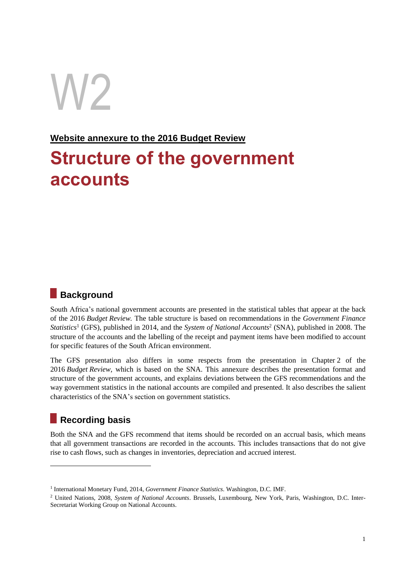# W2

### **Website annexure to the 2016 Budget Review**

# **Structure of the government accounts**

## **Background**

South Africa's national government accounts are presented in the statistical tables that appear at the back of the 2016 *Budget Review.* The table structure is based on recommendations in the *Government Finance Statistics*<sup>1</sup> (GFS), published in 2014, and the *System of National Accounts*<sup>2</sup> (SNA), published in 2008. The structure of the accounts and the labelling of the receipt and payment items have been modified to account for specific features of the South African environment.

The GFS presentation also differs in some respects from the presentation in Chapter 2 of the 2016 *Budget Review*, which is based on the SNA. This annexure describes the presentation format and structure of the government accounts, and explains deviations between the GFS recommendations and the way government statistics in the national accounts are compiled and presented. It also describes the salient characteristics of the SNA's section on government statistics.

## **Recording basis**

-

Both the SNA and the GFS recommend that items should be recorded on an accrual basis, which means that all government transactions are recorded in the accounts. This includes transactions that do not give rise to cash flows, such as changes in inventories, depreciation and accrued interest.

<sup>&</sup>lt;sup>1</sup> International Monetary Fund, 2014, *Government Finance Statistics*. Washington, D.C. IMF.

<sup>2</sup> United Nations, 2008, *System of National Accounts*. Brussels, Luxembourg, New York, Paris, Washington, D.C. Inter-Secretariat Working Group on National Accounts.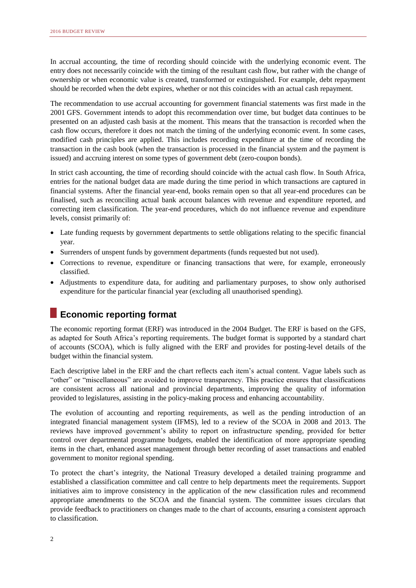In accrual accounting, the time of recording should coincide with the underlying economic event. The entry does not necessarily coincide with the timing of the resultant cash flow, but rather with the change of ownership or when economic value is created, transformed or extinguished. For example, debt repayment should be recorded when the debt expires, whether or not this coincides with an actual cash repayment.

The recommendation to use accrual accounting for government financial statements was first made in the 2001 GFS. Government intends to adopt this recommendation over time, but budget data continues to be presented on an adjusted cash basis at the moment. This means that the transaction is recorded when the cash flow occurs, therefore it does not match the timing of the underlying economic event. In some cases, modified cash principles are applied. This includes recording expenditure at the time of recording the transaction in the cash book (when the transaction is processed in the financial system and the payment is issued) and accruing interest on some types of government debt (zero-coupon bonds).

In strict cash accounting, the time of recording should coincide with the actual cash flow. In South Africa, entries for the national budget data are made during the time period in which transactions are captured in financial systems. After the financial year-end, books remain open so that all year-end procedures can be finalised, such as reconciling actual bank account balances with revenue and expenditure reported, and correcting item classification. The year-end procedures, which do not influence revenue and expenditure levels, consist primarily of:

- Late funding requests by government departments to settle obligations relating to the specific financial year.
- Surrenders of unspent funds by government departments (funds requested but not used).
- Corrections to revenue, expenditure or financing transactions that were, for example, erroneously classified.
- Adjustments to expenditure data, for auditing and parliamentary purposes, to show only authorised expenditure for the particular financial year (excluding all unauthorised spending).

## **Economic reporting format**

The economic reporting format (ERF) was introduced in the 2004 Budget. The ERF is based on the GFS, as adapted for South Africa's reporting requirements. The budget format is supported by a standard chart of accounts (SCOA), which is fully aligned with the ERF and provides for posting-level details of the budget within the financial system.

Each descriptive label in the ERF and the chart reflects each item's actual content. Vague labels such as "other" or "miscellaneous" are avoided to improve transparency. This practice ensures that classifications are consistent across all national and provincial departments, improving the quality of information provided to legislatures, assisting in the policy-making process and enhancing accountability.

The evolution of accounting and reporting requirements, as well as the pending introduction of an integrated financial management system (IFMS), led to a review of the SCOA in 2008 and 2013. The reviews have improved government's ability to report on infrastructure spending, provided for better control over departmental programme budgets, enabled the identification of more appropriate spending items in the chart, enhanced asset management through better recording of asset transactions and enabled government to monitor regional spending.

To protect the chart's integrity, the National Treasury developed a detailed training programme and established a classification committee and call centre to help departments meet the requirements. Support initiatives aim to improve consistency in the application of the new classification rules and recommend appropriate amendments to the SCOA and the financial system. The committee issues circulars that provide feedback to practitioners on changes made to the chart of accounts, ensuring a consistent approach to classification.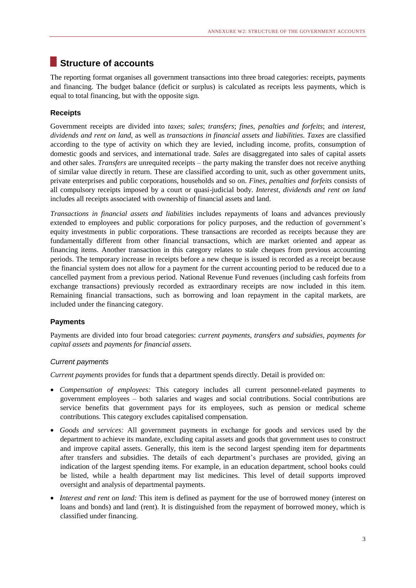## **Structure of accounts**

The reporting format organises all government transactions into three broad categories: receipts, payments and financing. The budget balance (deficit or surplus) is calculated as receipts less payments, which is equal to total financing, but with the opposite sign.

#### **Receipts**

Government receipts are divided into *taxes*; *sales*; *transfers*; *fines, penalties and forfeits*; and *interest, dividends and rent on land*, as well as *transactions in financial assets and liabilities*. *Taxes* are classified according to the type of activity on which they are levied, including income, profits, consumption of domestic goods and services, and international trade. *Sales* are disaggregated into sales of capital assets and other sales. *Transfers* are unrequited receipts – the party making the transfer does not receive anything of similar value directly in return. These are classified according to unit, such as other government units, private enterprises and public corporations, households and so on. *Fines, penalties and forfeits* consists of all compulsory receipts imposed by a court or quasi-judicial body. *Interest, dividends and rent on land* includes all receipts associated with ownership of financial assets and land.

*Transactions in financial assets and liabilities* includes repayments of loans and advances previously extended to employees and public corporations for policy purposes, and the reduction of government's equity investments in public corporations. These transactions are recorded as receipts because they are fundamentally different from other financial transactions, which are market oriented and appear as financing items. Another transaction in this category relates to stale cheques from previous accounting periods. The temporary increase in receipts before a new cheque is issued is recorded as a receipt because the financial system does not allow for a payment for the current accounting period to be reduced due to a cancelled payment from a previous period. National Revenue Fund revenues (including cash forfeits from exchange transactions) previously recorded as extraordinary receipts are now included in this item. Remaining financial transactions, such as borrowing and loan repayment in the capital markets, are included under the financing category.

#### **Payments**

Payments are divided into four broad categories: *current payments*, *transfers and subsidies*, *payments for capital assets* and *payments for financial assets*.

#### *Current payments*

*Current payments* provides for funds that a department spends directly. Detail is provided on:

- *Compensation of employees:* This category includes all current personnel-related payments to government employees – both salaries and wages and social contributions. Social contributions are service benefits that government pays for its employees, such as pension or medical scheme contributions. This category excludes capitalised compensation.
- *Goods and services:* All government payments in exchange for goods and services used by the department to achieve its mandate, excluding capital assets and goods that government uses to construct and improve capital assets. Generally, this item is the second largest spending item for departments after transfers and subsidies. The details of each department's purchases are provided, giving an indication of the largest spending items. For example, in an education department, school books could be listed, while a health department may list medicines. This level of detail supports improved oversight and analysis of departmental payments.
- *Interest and rent on land:* This item is defined as payment for the use of borrowed money (interest on loans and bonds) and land (rent). It is distinguished from the repayment of borrowed money, which is classified under financing.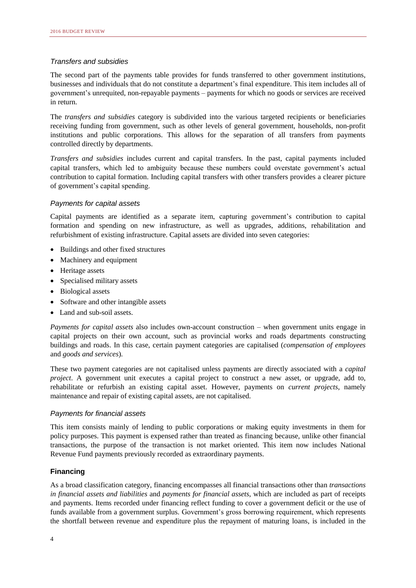#### *Transfers and subsidies*

The second part of the payments table provides for funds transferred to other government institutions, businesses and individuals that do not constitute a department's final expenditure. This item includes all of government's unrequited, non-repayable payments – payments for which no goods or services are received in return.

The *transfers and subsidies* category is subdivided into the various targeted recipients or beneficiaries receiving funding from government, such as other levels of general government, households, non-profit institutions and public corporations. This allows for the separation of all transfers from payments controlled directly by departments.

*Transfers and subsidies* includes current and capital transfers. In the past, capital payments included capital transfers, which led to ambiguity because these numbers could overstate government's actual contribution to capital formation. Including capital transfers with other transfers provides a clearer picture of government's capital spending.

#### *Payments for capital assets*

Capital payments are identified as a separate item, capturing government's contribution to capital formation and spending on new infrastructure, as well as upgrades, additions, rehabilitation and refurbishment of existing infrastructure. Capital assets are divided into seven categories:

- Buildings and other fixed structures
- Machinery and equipment
- Heritage assets
- Specialised military assets
- Biological assets
- Software and other intangible assets
- Land and sub-soil assets.

*Payments for capital assets* also includes own-account construction – when government units engage in capital projects on their own account, such as provincial works and roads departments constructing buildings and roads. In this case, certain payment categories are capitalised (*compensation of employees* and *goods and services*).

These two payment categories are not capitalised unless payments are directly associated with a *capital project*. A government unit executes a capital project to construct a new asset, or upgrade, add to, rehabilitate or refurbish an existing capital asset. However, payments on *current projects*, namely maintenance and repair of existing capital assets, are not capitalised.

#### *Payments for financial assets*

This item consists mainly of lending to public corporations or making equity investments in them for policy purposes. This payment is expensed rather than treated as financing because, unlike other financial transactions, the purpose of the transaction is not market oriented. This item now includes National Revenue Fund payments previously recorded as extraordinary payments.

#### **Financing**

As a broad classification category, financing encompasses all financial transactions other than *transactions in financial assets and liabilities* and *payments for financial assets*, which are included as part of receipts and payments. Items recorded under financing reflect funding to cover a government deficit or the use of funds available from a government surplus. Government's gross borrowing requirement, which represents the shortfall between revenue and expenditure plus the repayment of maturing loans, is included in the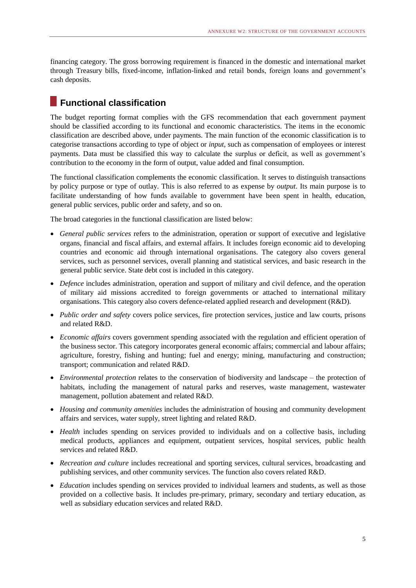financing category. The gross borrowing requirement is financed in the domestic and international market through Treasury bills, fixed-income, inflation-linked and retail bonds, foreign loans and government's cash deposits.

## **Functional classification**

The budget reporting format complies with the GFS recommendation that each government payment should be classified according to its functional and economic characteristics. The items in the economic classification are described above, under payments. The main function of the economic classification is to categorise transactions according to type of object or *input*, such as compensation of employees or interest payments. Data must be classified this way to calculate the surplus or deficit, as well as government's contribution to the economy in the form of output, value added and final consumption.

The functional classification complements the economic classification. It serves to distinguish transactions by policy purpose or type of outlay. This is also referred to as expense by *output*. Its main purpose is to facilitate understanding of how funds available to government have been spent in health, education, general public services, public order and safety, and so on.

The broad categories in the functional classification are listed below:

- *General public services* refers to the administration, operation or support of executive and legislative organs, financial and fiscal affairs, and external affairs. It includes foreign economic aid to developing countries and economic aid through international organisations. The category also covers general services, such as personnel services, overall planning and statistical services, and basic research in the general public service. State debt cost is included in this category.
- *Defence* includes administration, operation and support of military and civil defence, and the operation of military aid missions accredited to foreign governments or attached to international military organisations. This category also covers defence-related applied research and development (R&D).
- *Public order and safety* covers police services, fire protection services, justice and law courts, prisons and related R&D.
- *Economic affairs* covers government spending associated with the regulation and efficient operation of the business sector. This category incorporates general economic affairs; commercial and labour affairs; agriculture, forestry, fishing and hunting; fuel and energy; mining, manufacturing and construction; transport; communication and related R&D.
- *Environmental protection* relates to the conservation of biodiversity and landscape the protection of habitats, including the management of natural parks and reserves, waste management, wastewater management, pollution abatement and related R&D.
- *Housing and community amenities* includes the administration of housing and community development affairs and services, water supply, street lighting and related R&D.
- *Health* includes spending on services provided to individuals and on a collective basis, including medical products, appliances and equipment, outpatient services, hospital services, public health services and related R&D.
- *Recreation and culture* includes recreational and sporting services, cultural services, broadcasting and publishing services, and other community services. The function also covers related R&D.
- *Education* includes spending on services provided to individual learners and students, as well as those provided on a collective basis. It includes pre-primary, primary, secondary and tertiary education, as well as subsidiary education services and related R&D.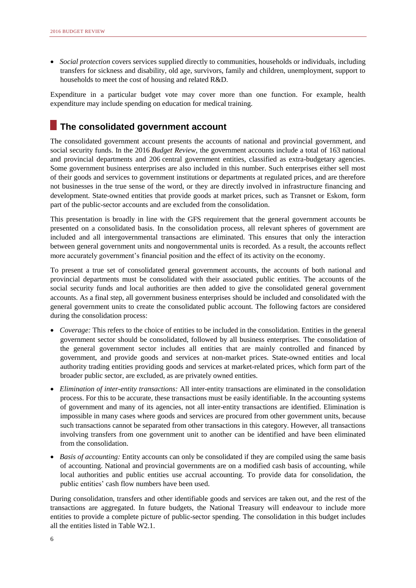*Social protection* covers services supplied directly to communities, households or individuals, including transfers for sickness and disability, old age, survivors, family and children, unemployment, support to households to meet the cost of housing and related R&D.

Expenditure in a particular budget vote may cover more than one function. For example, health expenditure may include spending on education for medical training.

## **The consolidated government account**

The consolidated government account presents the accounts of national and provincial government, and social security funds. In the 2016 *Budget Review,* the government accounts include a total of 163 national and provincial departments and 206 central government entities, classified as extra-budgetary agencies. Some government business enterprises are also included in this number. Such enterprises either sell most of their goods and services to government institutions or departments at regulated prices, and are therefore not businesses in the true sense of the word, or they are directly involved in infrastructure financing and development. State-owned entities that provide goods at market prices, such as Transnet or Eskom, form part of the public-sector accounts and are excluded from the consolidation.

This presentation is broadly in line with the GFS requirement that the general government accounts be presented on a consolidated basis. In the consolidation process, all relevant spheres of government are included and all intergovernmental transactions are eliminated. This ensures that only the interaction between general government units and nongovernmental units is recorded. As a result, the accounts reflect more accurately government's financial position and the effect of its activity on the economy.

To present a true set of consolidated general government accounts, the accounts of both national and provincial departments must be consolidated with their associated public entities. The accounts of the social security funds and local authorities are then added to give the consolidated general government accounts. As a final step, all government business enterprises should be included and consolidated with the general government units to create the consolidated public account. The following factors are considered during the consolidation process:

- *Coverage:* This refers to the choice of entities to be included in the consolidation. Entities in the general government sector should be consolidated, followed by all business enterprises. The consolidation of the general government sector includes all entities that are mainly controlled and financed by government, and provide goods and services at non-market prices. State-owned entities and local authority trading entities providing goods and services at market-related prices, which form part of the broader public sector, are excluded, as are privately owned entities.
- *Elimination of inter-entity transactions:* All inter-entity transactions are eliminated in the consolidation process. For this to be accurate, these transactions must be easily identifiable. In the accounting systems of government and many of its agencies, not all inter-entity transactions are identified. Elimination is impossible in many cases where goods and services are procured from other government units, because such transactions cannot be separated from other transactions in this category. However, all transactions involving transfers from one government unit to another can be identified and have been eliminated from the consolidation.
- *Basis of accounting:* Entity accounts can only be consolidated if they are compiled using the same basis of accounting. National and provincial governments are on a modified cash basis of accounting, while local authorities and public entities use accrual accounting. To provide data for consolidation, the public entities' cash flow numbers have been used.

During consolidation, transfers and other identifiable goods and services are taken out, and the rest of the transactions are aggregated. In future budgets, the National Treasury will endeavour to include more entities to provide a complete picture of public-sector spending. The consolidation in this budget includes all the entities listed in Table W2.1.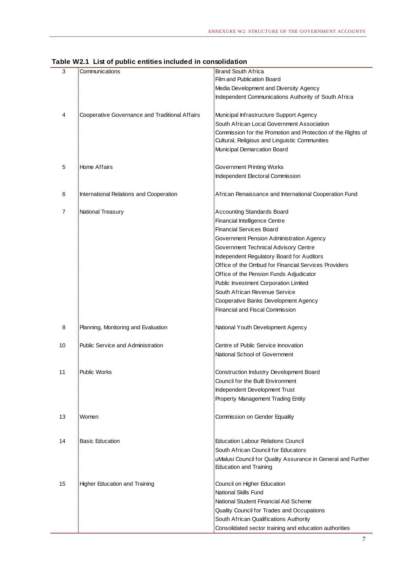|    | able wz.1 List of public entities included in consolidation |                                                                                               |
|----|-------------------------------------------------------------|-----------------------------------------------------------------------------------------------|
| 3  | Communications                                              | <b>Brand South Africa</b>                                                                     |
|    |                                                             | <b>Film and Publication Board</b>                                                             |
|    |                                                             | Media Development and Diversity Agency                                                        |
|    |                                                             | Independent Communications Authority of South Africa                                          |
| 4  | Cooperative Governance and Traditional Affairs              | Municipal Infrastructure Support Agency                                                       |
|    |                                                             | South African Local Government Association                                                    |
|    |                                                             | Commission for the Promotion and Protection of the Rights of                                  |
|    |                                                             | Cultural, Religious and Linguistic Communities                                                |
|    |                                                             | Municipal Demarcation Board                                                                   |
| 5  | Home Affairs                                                | Government Printing Works                                                                     |
|    |                                                             | Independent Electoral Commission                                                              |
| 6  | International Relations and Cooperation                     | African Renaissance and International Cooperation Fund                                        |
| 7  | National Treasury                                           | <b>Accounting Standards Board</b>                                                             |
|    |                                                             | Financial Intelligence Centre                                                                 |
|    |                                                             | <b>Financial Services Board</b>                                                               |
|    |                                                             | Government Pension Administration Agency                                                      |
|    |                                                             | Government Technical Advisory Centre                                                          |
|    |                                                             | <b>Independent Requlatory Board for Auditors</b>                                              |
|    |                                                             | Office of the Ombud for Financial Services Providers                                          |
|    |                                                             | Office of the Pension Funds Adjudicator                                                       |
|    |                                                             | Public Investment Corporation Limited                                                         |
|    |                                                             | South African Revenue Service                                                                 |
|    |                                                             | Cooperative Banks Development Agency                                                          |
|    |                                                             | Financial and Fiscal Commission                                                               |
| 8  | Planning, Monitoring and Evaluation                         | National Youth Development Agency                                                             |
| 10 | <b>Public Service and Administration</b>                    | Centre of Public Service Innovation                                                           |
|    |                                                             | National School of Government                                                                 |
| 11 | <b>Public Works</b>                                         | Construction Industry Development Board                                                       |
|    |                                                             | Council for the Built Environment                                                             |
|    |                                                             | Independent Development Trust                                                                 |
|    |                                                             | Property Management Trading Entity                                                            |
| 13 | Women                                                       | Commission on Gender Equality                                                                 |
|    |                                                             |                                                                                               |
| 14 | <b>Basic Education</b>                                      | <b>Education Labour Relations Council</b>                                                     |
|    |                                                             | South African Council for Educators                                                           |
|    |                                                             | uMalusi Council for Quality Assurance in General and Further<br><b>Education and Training</b> |
| 15 | <b>Higher Education and Training</b>                        | Council on Higher Education                                                                   |
|    |                                                             | National Skills Fund                                                                          |
|    |                                                             | National Student Financial Aid Scheme                                                         |
|    |                                                             | Quality Council for Trades and Occupations                                                    |
|    |                                                             | South African Qualifications Authority                                                        |
|    |                                                             | Consolidated sector training and education authorities                                        |

#### **Table W2.1 List of public entities included in consolidation**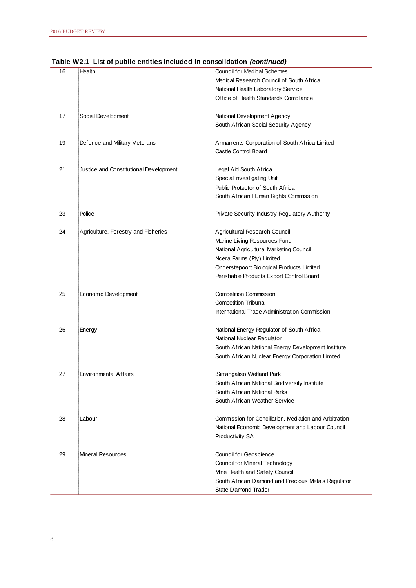| 16 | Health                                 | <b>Council for Medical Schemes</b>                     |
|----|----------------------------------------|--------------------------------------------------------|
|    |                                        | Medical Research Council of South Africa               |
|    |                                        | National Health Laboratory Service                     |
|    |                                        | Office of Health Standards Compliance                  |
|    |                                        |                                                        |
| 17 | Social Development                     | National Development Agency                            |
|    |                                        | South African Social Security Agency                   |
|    |                                        |                                                        |
|    |                                        |                                                        |
| 19 | Defence and Military Veterans          | Armaments Corporation of South Africa Limited          |
|    |                                        | Castle Control Board                                   |
|    |                                        |                                                        |
| 21 | Justice and Constitutional Development | Legal Aid South Africa                                 |
|    |                                        | Special Investigating Unit                             |
|    |                                        | Public Protector of South Africa                       |
|    |                                        | South African Human Rights Commission                  |
|    |                                        |                                                        |
| 23 | Police                                 | Private Security Industry Regulatory Authority         |
|    |                                        |                                                        |
| 24 | Agriculture, Forestry and Fisheries    | Agricultural Research Council                          |
|    |                                        | Marine Living Resources Fund                           |
|    |                                        | National Agricultural Marketing Council                |
|    |                                        | Ncera Farms (Pty) Limited                              |
|    |                                        | Onderstepoort Biological Products Limited              |
|    |                                        | Perishable Products Export Control Board               |
|    |                                        |                                                        |
| 25 | Economic Development                   | Competition Commission                                 |
|    |                                        | <b>Competition Tribunal</b>                            |
|    |                                        | International Trade Administration Commission          |
|    |                                        |                                                        |
| 26 | Energy                                 | National Energy Regulator of South Africa              |
|    |                                        | National Nuclear Regulator                             |
|    |                                        | South African National Energy Development Institute    |
|    |                                        |                                                        |
|    |                                        | South African Nuclear Energy Corporation Limited       |
| 27 | <b>Environmental Affairs</b>           |                                                        |
|    |                                        | iSimangaliso Wetland Park                              |
|    |                                        | South African National Biodiversity Institute          |
|    |                                        | South African National Parks                           |
|    |                                        | South African Weather Service                          |
|    |                                        |                                                        |
| 28 | Labour                                 | Commission for Conciliation, Mediation and Arbitration |
|    |                                        | National Economic Development and Labour Council       |
|    |                                        | Productivity SA                                        |
|    |                                        |                                                        |
| 29 | Mineral Resources                      | Council for Geoscience                                 |
|    |                                        | <b>Council for Mineral Technology</b>                  |
|    |                                        | Mine Health and Safety Council                         |
|    |                                        | South African Diamond and Precious Metals Regulator    |
|    |                                        | State Diamond Trader                                   |
|    |                                        |                                                        |

## **Table W2.1 List of public entities included in consolidation** *(continued)*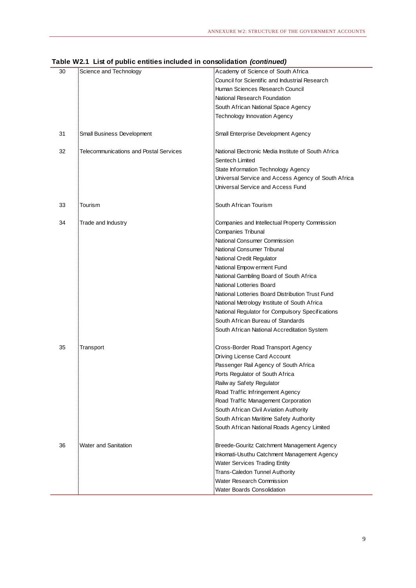|    | $1800$ Then that of public changes included in conscitution (continuou) |                                                     |
|----|-------------------------------------------------------------------------|-----------------------------------------------------|
| 30 | Science and Technology                                                  | Academy of Science of South Africa                  |
|    |                                                                         | Council for Scientific and Industrial Research      |
|    |                                                                         | Human Sciences Research Council                     |
|    |                                                                         | National Research Foundation                        |
|    |                                                                         | South African National Space Agency                 |
|    |                                                                         | Technology Innovation Agency                        |
|    |                                                                         |                                                     |
| 31 | Small Business Development                                              | Small Enterprise Development Agency                 |
| 32 | <b>Telecommunications and Postal Services</b>                           | National Electronic Media Institute of South Africa |
|    |                                                                         | Sentech Limited                                     |
|    |                                                                         | State Information Technology Agency                 |
|    |                                                                         | Universal Service and Access Agency of South Africa |
|    |                                                                         | Universal Service and Access Fund                   |
| 33 | Tourism                                                                 | South African Tourism                               |
|    |                                                                         |                                                     |
| 34 | Trade and Industry                                                      | Companies and Intellectual Property Commission      |
|    |                                                                         | Companies Tribunal                                  |
|    |                                                                         | National Consumer Commission                        |
|    |                                                                         | National Consumer Tribunal                          |
|    |                                                                         | National Credit Regulator                           |
|    |                                                                         | National Empow erment Fund                          |
|    |                                                                         | National Gambling Board of South Africa             |
|    |                                                                         | National Lotteries Board                            |
|    |                                                                         | National Lotteries Board Distribution Trust Fund    |
|    |                                                                         | National Metrology Institute of South Africa        |
|    |                                                                         | National Regulator for Compulsory Specifications    |
|    |                                                                         | South African Bureau of Standards                   |
|    |                                                                         |                                                     |
|    |                                                                         | South African National Accreditation System         |
| 35 | Transport                                                               | Cross-Border Road Transport Agency                  |
|    |                                                                         | Driving License Card Account                        |
|    |                                                                         | Passenger Rail Agency of South Africa               |
|    |                                                                         | Ports Regulator of South Africa                     |
|    |                                                                         | Railw ay Safety Regulator                           |
|    |                                                                         | Road Traffic Infringement Agency                    |
|    |                                                                         | Road Traffic Management Corporation                 |
|    |                                                                         | South African Civil Aviation Authority              |
|    |                                                                         | South African Maritime Safety Authority             |
|    |                                                                         | South African National Roads Agency Limited         |
|    |                                                                         |                                                     |
| 36 | <b>Water and Sanitation</b>                                             | Breede-Gouritz Catchment Management Agency          |
|    |                                                                         | Inkomati-Usuthu Catchment Management Agency         |
|    |                                                                         | <b>Water Services Trading Entity</b>                |
|    |                                                                         | Trans-Caledon Tunnel Authority                      |
|    |                                                                         | Water Research Commission                           |
|    |                                                                         | Water Boards Consolidation                          |
|    |                                                                         |                                                     |

#### **Table W2.1 List of public entities included in consolidation** *(continued)*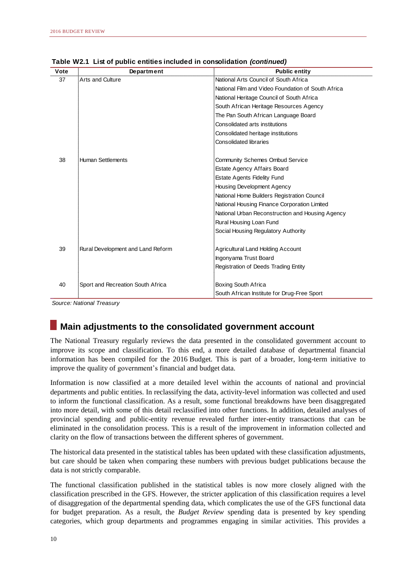| Vote | Department                        | <b>Public entity</b>                               |
|------|-----------------------------------|----------------------------------------------------|
| 37   | Arts and Culture                  | National Arts Council of South Africa              |
|      |                                   | National Film and Video Foundation of South Africa |
|      |                                   | National Heritage Council of South Africa          |
|      |                                   | South African Heritage Resources Agency            |
|      |                                   | The Pan South African Language Board               |
|      |                                   | Consolidated arts institutions                     |
|      |                                   | Consolidated heritage institutions                 |
|      |                                   | <b>Consolidated libraries</b>                      |
|      |                                   |                                                    |
| 38   | Human Settlements                 | <b>Community Schemes Ombud Service</b>             |
|      |                                   | Estate Agency Affairs Board                        |
|      |                                   | <b>Estate Agents Fidelity Fund</b>                 |
|      |                                   | <b>Housing Development Agency</b>                  |
|      |                                   | National Home Builders Registration Council        |
|      |                                   | National Housing Finance Corporation Limited       |
|      |                                   | National Urban Reconstruction and Housing Agency   |
|      |                                   | Rural Housing Loan Fund                            |
|      |                                   | Social Housing Regulatory Authority                |
|      |                                   |                                                    |
| 39   | Rural Development and Land Reform | Agricultural Land Holding Account                  |
|      |                                   | Ingonyama Trust Board                              |
|      |                                   | Registration of Deeds Trading Entity               |
|      |                                   |                                                    |
| 40   | Sport and Recreation South Africa | Boxing South Africa                                |
|      |                                   | South African Institute for Drug-Free Sport        |

**Table W2.1 List of public entities included in consolidation** *(continued)*

*Source: National Treasury*

## **Main adjustments to the consolidated government account**

The National Treasury regularly reviews the data presented in the consolidated government account to improve its scope and classification. To this end, a more detailed database of departmental financial information has been compiled for the 2016 Budget. This is part of a broader, long-term initiative to improve the quality of government's financial and budget data.

Information is now classified at a more detailed level within the accounts of national and provincial departments and public entities. In reclassifying the data, activity-level information was collected and used to inform the functional classification. As a result, some functional breakdowns have been disaggregated into more detail, with some of this detail reclassified into other functions. In addition, detailed analyses of provincial spending and public-entity revenue revealed further inter-entity transactions that can be eliminated in the consolidation process. This is a result of the improvement in information collected and clarity on the flow of transactions between the different spheres of government.

The historical data presented in the statistical tables has been updated with these classification adjustments, but care should be taken when comparing these numbers with previous budget publications because the data is not strictly comparable.

The functional classification published in the statistical tables is now more closely aligned with the classification prescribed in the GFS. However, the stricter application of this classification requires a level of disaggregation of the departmental spending data, which complicates the use of the GFS functional data for budget preparation. As a result, the *Budget Review* spending data is presented by key spending categories, which group departments and programmes engaging in similar activities. This provides a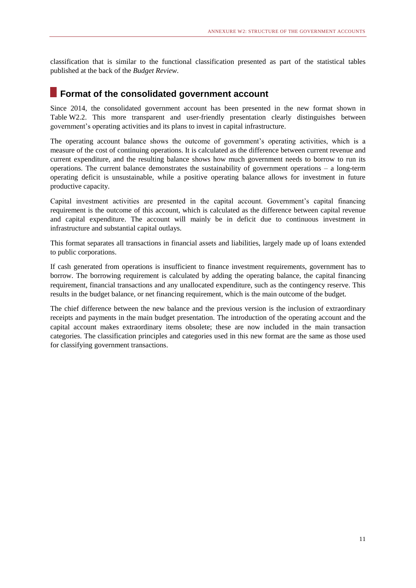classification that is similar to the functional classification presented as part of the statistical tables published at the back of the *Budget Review*.

#### **Format of the consolidated government account**

Since 2014, the consolidated government account has been presented in the new format shown in Table W2.2. This more transparent and user-friendly presentation clearly distinguishes between government's operating activities and its plans to invest in capital infrastructure.

The operating account balance shows the outcome of government's operating activities, which is a measure of the cost of continuing operations. It is calculated as the difference between current revenue and current expenditure, and the resulting balance shows how much government needs to borrow to run its operations. The current balance demonstrates the sustainability of government operations – a long-term operating deficit is unsustainable, while a positive operating balance allows for investment in future productive capacity.

Capital investment activities are presented in the capital account. Government's capital financing requirement is the outcome of this account, which is calculated as the difference between capital revenue and capital expenditure. The account will mainly be in deficit due to continuous investment in infrastructure and substantial capital outlays.

This format separates all transactions in financial assets and liabilities, largely made up of loans extended to public corporations.

If cash generated from operations is insufficient to finance investment requirements, government has to borrow. The borrowing requirement is calculated by adding the operating balance, the capital financing requirement, financial transactions and any unallocated expenditure, such as the contingency reserve. This results in the budget balance, or net financing requirement, which is the main outcome of the budget.

The chief difference between the new balance and the previous version is the inclusion of extraordinary receipts and payments in the main budget presentation. The introduction of the operating account and the capital account makes extraordinary items obsolete; these are now included in the main transaction categories. The classification principles and categories used in this new format are the same as those used for classifying government transactions.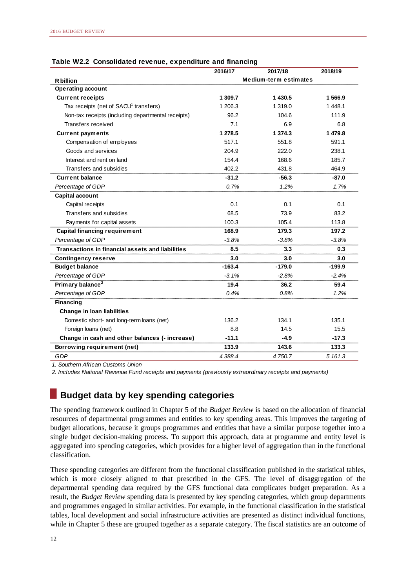|                                                         | 2016/17  | 2017/18                      | 2018/19  |
|---------------------------------------------------------|----------|------------------------------|----------|
| <b>R</b> billion                                        |          | <b>Medium-term estimates</b> |          |
| <b>Operating account</b>                                |          |                              |          |
| <b>Current receipts</b>                                 | 1 309.7  | 1 430.5                      | 1566.9   |
| Tax receipts (net of SACU <sup>1</sup> transfers)       | 1 206.3  | 1 3 1 9 . 0                  | 1 448.1  |
| Non-tax receipts (including departmental receipts)      | 96.2     | 104.6                        | 111.9    |
| Transfers received                                      | 7.1      | 6.9                          | 6.8      |
| <b>Current payments</b>                                 | 1 278.5  | 1 374.3                      | 1 479.8  |
| Compensation of employees                               | 517.1    | 551.8                        | 591.1    |
| Goods and services                                      | 204.9    | 222.0                        | 238.1    |
| Interest and rent on land                               | 154.4    | 168.6                        | 185.7    |
| Transfers and subsidies                                 | 402.2    | 431.8                        | 464.9    |
| <b>Current balance</b>                                  | $-31.2$  | -56.3                        | -87.0    |
| Percentage of GDP                                       | 0.7%     | 1.2%                         | 1.7%     |
| <b>Capital account</b>                                  |          |                              |          |
| Capital receipts                                        | 0.1      | 0.1                          | 0.1      |
| Transfers and subsidies                                 | 68.5     | 73.9                         | 83.2     |
| Payments for capital assets                             | 100.3    | 105.4                        | 113.8    |
| <b>Capital financing requirement</b>                    | 168.9    | 179.3                        | 197.2    |
| Percentage of GDP                                       | $-3.8%$  | $-3.8%$                      | $-3.8%$  |
| <b>Transactions in financial assets and liabilities</b> | 8.5      | 3.3                          | 0.3      |
| <b>Contingency reserve</b>                              | 3.0      | 3.0                          | 3.0      |
| <b>Budget balance</b>                                   | $-163.4$ | $-179.0$                     | $-199.9$ |
| Percentage of GDP                                       | $-3.1%$  | $-2.8%$                      | $-2.4%$  |
| Primary balance <sup>2</sup>                            | 19.4     | 36.2                         | 59.4     |
| Percentage of GDP                                       | 0.4%     | 0.8%                         | 1.2%     |
| <b>Financing</b>                                        |          |                              |          |
| Change in Ioan liabilities                              |          |                              |          |
| Domestic short- and long-term loans (net)               | 136.2    | 134.1                        | 135.1    |
| Foreign loans (net)                                     | 8.8      | 14.5                         | 15.5     |
| Change in cash and other balances (- increase)          | $-11.1$  | $-4.9$                       | $-17.3$  |
| Borrowing requirement (net)                             | 133.9    | 143.6                        | 133.3    |
| GDP                                                     | 4 388.4  | 4750.7                       | 5 161.3  |

#### **Table W2.2 Consolidated revenue, expenditure and financing**

*1. Southern African Customs Union*

*2. Includes National Revenue Fund receipts and payments (previously extraordinary receipts and payments)*

### **Budget data by key spending categories**

The spending framework outlined in Chapter 5 of the *Budget Review* is based on the allocation of financial resources of departmental programmes and entities to key spending areas. This improves the targeting of budget allocations, because it groups programmes and entities that have a similar purpose together into a single budget decision-making process. To support this approach, data at programme and entity level is aggregated into spending categories, which provides for a higher level of aggregation than in the functional classification.

These spending categories are different from the functional classification published in the statistical tables, which is more closely aligned to that prescribed in the GFS. The level of disaggregation of the departmental spending data required by the GFS functional data complicates budget preparation. As a result, the *Budget Review* spending data is presented by key spending categories, which group departments and programmes engaged in similar activities. For example, in the functional classification in the statistical tables, local development and social infrastructure activities are presented as distinct individual functions, while in Chapter 5 these are grouped together as a separate category. The fiscal statistics are an outcome of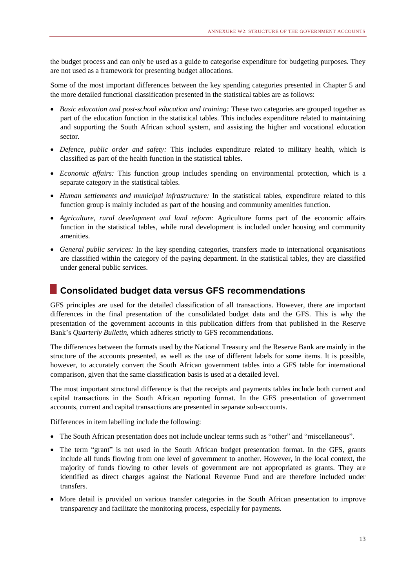the budget process and can only be used as a guide to categorise expenditure for budgeting purposes. They are not used as a framework for presenting budget allocations.

Some of the most important differences between the key spending categories presented in Chapter 5 and the more detailed functional classification presented in the statistical tables are as follows:

- *Basic education and post-school education and training:* These two categories are grouped together as part of the education function in the statistical tables. This includes expenditure related to maintaining and supporting the South African school system, and assisting the higher and vocational education sector.
- *Defence, public order and safety:* This includes expenditure related to military health, which is classified as part of the health function in the statistical tables.
- *Economic affairs:* This function group includes spending on environmental protection, which is a separate category in the statistical tables.
- *Human settlements and municipal infrastructure:* In the statistical tables, expenditure related to this function group is mainly included as part of the housing and community amenities function.
- *Agriculture, rural development and land reform:* Agriculture forms part of the economic affairs function in the statistical tables, while rural development is included under housing and community amenities.
- *General public services:* In the key spending categories, transfers made to international organisations are classified within the category of the paying department. In the statistical tables, they are classified under general public services.

#### **Consolidated budget data versus GFS recommendations**

GFS principles are used for the detailed classification of all transactions. However, there are important differences in the final presentation of the consolidated budget data and the GFS. This is why the presentation of the government accounts in this publication differs from that published in the Reserve Bank's *Quarterly Bulletin*, which adheres strictly to GFS recommendations.

The differences between the formats used by the National Treasury and the Reserve Bank are mainly in the structure of the accounts presented, as well as the use of different labels for some items. It is possible, however, to accurately convert the South African government tables into a GFS table for international comparison, given that the same classification basis is used at a detailed level.

The most important structural difference is that the receipts and payments tables include both current and capital transactions in the South African reporting format. In the GFS presentation of government accounts, current and capital transactions are presented in separate sub-accounts.

Differences in item labelling include the following:

- The South African presentation does not include unclear terms such as "other" and "miscellaneous".
- The term "grant" is not used in the South African budget presentation format. In the GFS, grants include all funds flowing from one level of government to another. However, in the local context, the majority of funds flowing to other levels of government are not appropriated as grants. They are identified as direct charges against the National Revenue Fund and are therefore included under transfers.
- More detail is provided on various transfer categories in the South African presentation to improve transparency and facilitate the monitoring process, especially for payments.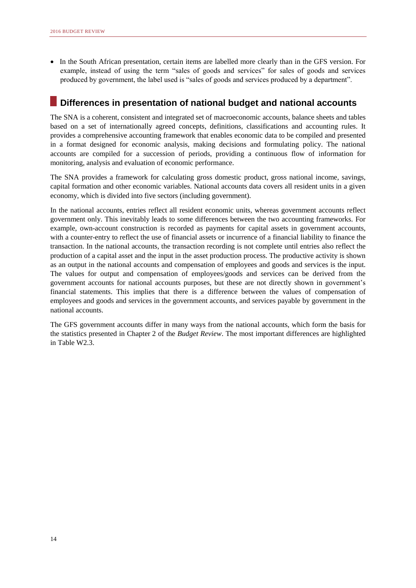In the South African presentation, certain items are labelled more clearly than in the GFS version. For example, instead of using the term "sales of goods and services" for sales of goods and services produced by government, the label used is "sales of goods and services produced by a department".

## **Differences in presentation of national budget and national accounts**

The SNA is a coherent, consistent and integrated set of macroeconomic accounts, balance sheets and tables based on a set of internationally agreed concepts, definitions, classifications and accounting rules. It provides a comprehensive accounting framework that enables economic data to be compiled and presented in a format designed for economic analysis, making decisions and formulating policy. The national accounts are compiled for a succession of periods, providing a continuous flow of information for monitoring, analysis and evaluation of economic performance.

The SNA provides a framework for calculating gross domestic product, gross national income, savings, capital formation and other economic variables. National accounts data covers all resident units in a given economy, which is divided into five sectors (including government).

In the national accounts, entries reflect all resident economic units, whereas government accounts reflect government only. This inevitably leads to some differences between the two accounting frameworks. For example, own-account construction is recorded as payments for capital assets in government accounts, with a counter-entry to reflect the use of financial assets or incurrence of a financial liability to finance the transaction. In the national accounts, the transaction recording is not complete until entries also reflect the production of a capital asset and the input in the asset production process. The productive activity is shown as an output in the national accounts and compensation of employees and goods and services is the input. The values for output and compensation of employees/goods and services can be derived from the government accounts for national accounts purposes, but these are not directly shown in government's financial statements. This implies that there is a difference between the values of compensation of employees and goods and services in the government accounts, and services payable by government in the national accounts.

The GFS government accounts differ in many ways from the national accounts, which form the basis for the statistics presented in Chapter 2 of the *Budget Review*. The most important differences are highlighted in Table W2.3.